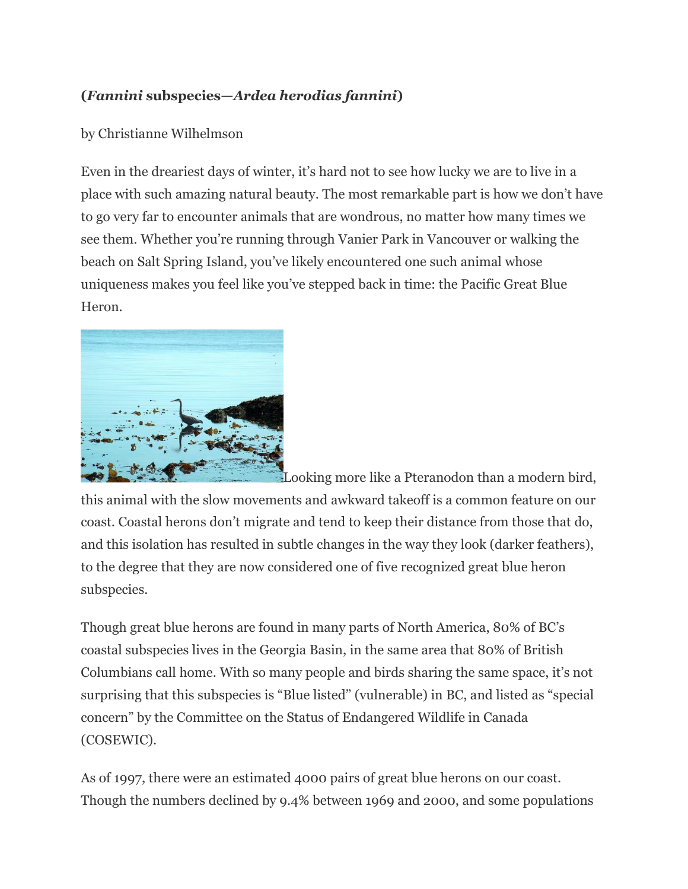## **(***Fannini* **subspecies—***Ardea herodias fannini***)**

## by Christianne Wilhelmson

Even in the dreariest days of winter, it's hard not to see how lucky we are to live in a place with such amazing natural beauty. The most remarkable part is how we don't have to go very far to encounter animals that are wondrous, no matter how many times we see them. Whether you're running through Vanier Park in Vancouver or walking the beach on Salt Spring Island, you've likely encountered one such animal whose uniqueness makes you feel like you've stepped back in time: the Pacific Great Blue Heron.



Looking more like a Pteranodon than a modern bird, this animal with the slow movements and awkward takeoff is a common feature on our coast. Coastal herons don't migrate and tend to keep their distance from those that do, and this isolation has resulted in subtle changes in the way they look (darker feathers), to the degree that they are now considered one of five recognized great blue heron subspecies.

Though great blue herons are found in many parts of North America, 80% of BC's coastal subspecies lives in the Georgia Basin, in the same area that 80% of British Columbians call home. With so many people and birds sharing the same space, it's not surprising that this subspecies is "Blue listed" (vulnerable) in BC, and listed as "special concern" by the Committee on the Status of Endangered Wildlife in Canada (COSEWIC).

As of 1997, there were an estimated 4000 pairs of great blue herons on our coast. Though the numbers declined by 9.4% between 1969 and 2000, and some populations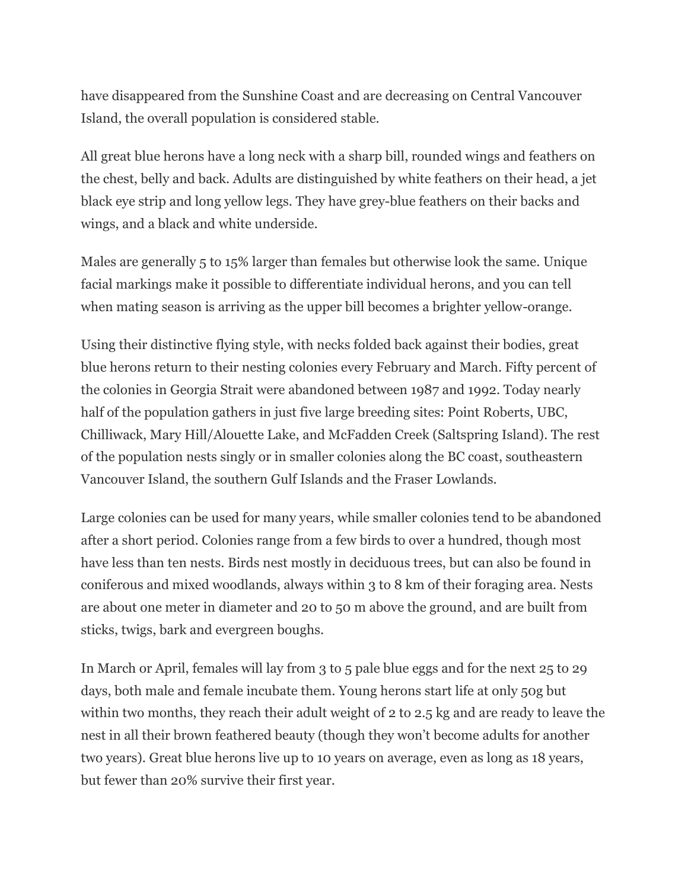have disappeared from the Sunshine Coast and are decreasing on Central Vancouver Island, the overall population is considered stable.

All great blue herons have a long neck with a sharp bill, rounded wings and feathers on the chest, belly and back. Adults are distinguished by white feathers on their head, a jet black eye strip and long yellow legs. They have grey-blue feathers on their backs and wings, and a black and white underside.

Males are generally 5 to 15% larger than females but otherwise look the same. Unique facial markings make it possible to differentiate individual herons, and you can tell when mating season is arriving as the upper bill becomes a brighter yellow-orange.

Using their distinctive flying style, with necks folded back against their bodies, great blue herons return to their nesting colonies every February and March. Fifty percent of the colonies in Georgia Strait were abandoned between 1987 and 1992. Today nearly half of the population gathers in just five large breeding sites: Point Roberts, UBC, Chilliwack, Mary Hill/Alouette Lake, and McFadden Creek (Saltspring Island). The rest of the population nests singly or in smaller colonies along the BC coast, southeastern Vancouver Island, the southern Gulf Islands and the Fraser Lowlands.

Large colonies can be used for many years, while smaller colonies tend to be abandoned after a short period. Colonies range from a few birds to over a hundred, though most have less than ten nests. Birds nest mostly in deciduous trees, but can also be found in coniferous and mixed woodlands, always within 3 to 8 km of their foraging area. Nests are about one meter in diameter and 20 to 50 m above the ground, and are built from sticks, twigs, bark and evergreen boughs.

In March or April, females will lay from 3 to 5 pale blue eggs and for the next 25 to 29 days, both male and female incubate them. Young herons start life at only 50g but within two months, they reach their adult weight of 2 to 2.5 kg and are ready to leave the nest in all their brown feathered beauty (though they won't become adults for another two years). Great blue herons live up to 10 years on average, even as long as 18 years, but fewer than 20% survive their first year.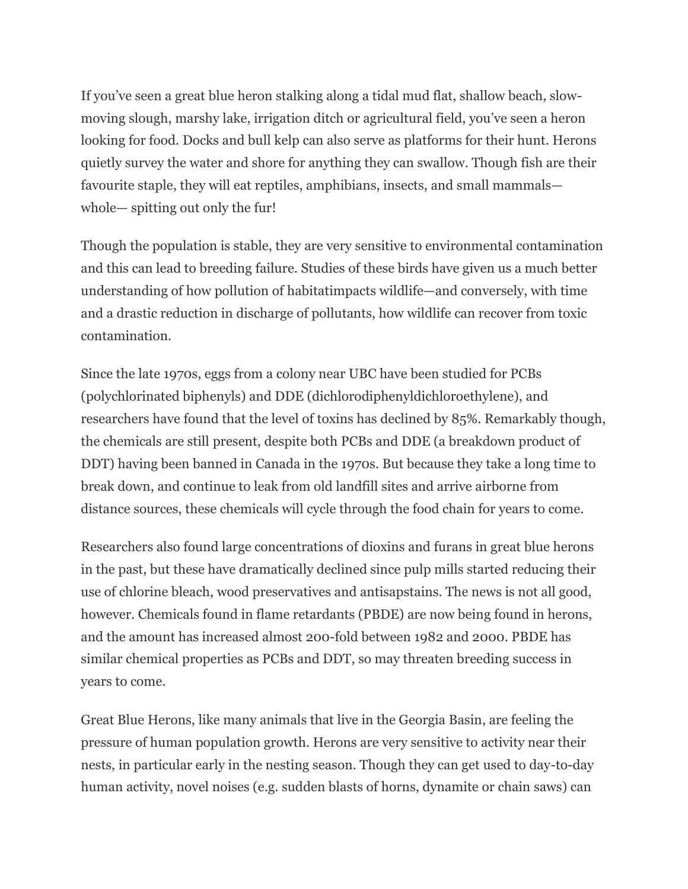If you've seen a great blue heron stalking along a tidal mud flat, shallow beach, slowmoving slough, marshy lake, irrigation ditch or agricultural field, you've seen a heron looking for food. Docks and bull kelp can also serve as platforms for their hunt. Herons quietly survey the water and shore for anything they can swallow. Though fish are their favourite staple, they will eat reptiles, amphibians, insects, and small mammals whole— spitting out only the fur!

Though the population is stable, they are very sensitive to environmental contamination and this can lead to breeding failure. Studies of these birds have given us a much better understanding of how pollution of habitatimpacts wildlife—and conversely, with time and a drastic reduction in discharge of pollutants, how wildlife can recover from toxic contamination.

Since the late 1970s, eggs from a colony near UBC have been studied for PCBs (polychlorinated biphenyls) and DDE (dichlorodiphenyldichloroethylene), and researchers have found that the level of toxins has declined by 85%. Remarkably though, the chemicals are still present, despite both PCBs and DDE (a breakdown product of DDT) having been banned in Canada in the 1970s. But because they take a long time to break down, and continue to leak from old landfill sites and arrive airborne from distance sources, these chemicals will cycle through the food chain for years to come.

Researchers also found large concentrations of dioxins and furans in great blue herons in the past, but these have dramatically declined since pulp mills started reducing their use of chlorine bleach, wood preservatives and antisapstains. The news is not all good, however. Chemicals found in flame retardants (PBDE) are now being found in herons, and the amount has increased almost 200-fold between 1982 and 2000. PBDE has similar chemical properties as PCBs and DDT, so may threaten breeding success in years to come.

Great Blue Herons, like many animals that live in the Georgia Basin, are feeling the pressure of human population growth. Herons are very sensitive to activity near their nests, in particular early in the nesting season. Though they can get used to day-to-day human activity, novel noises (e.g. sudden blasts of horns, dynamite or chain saws) can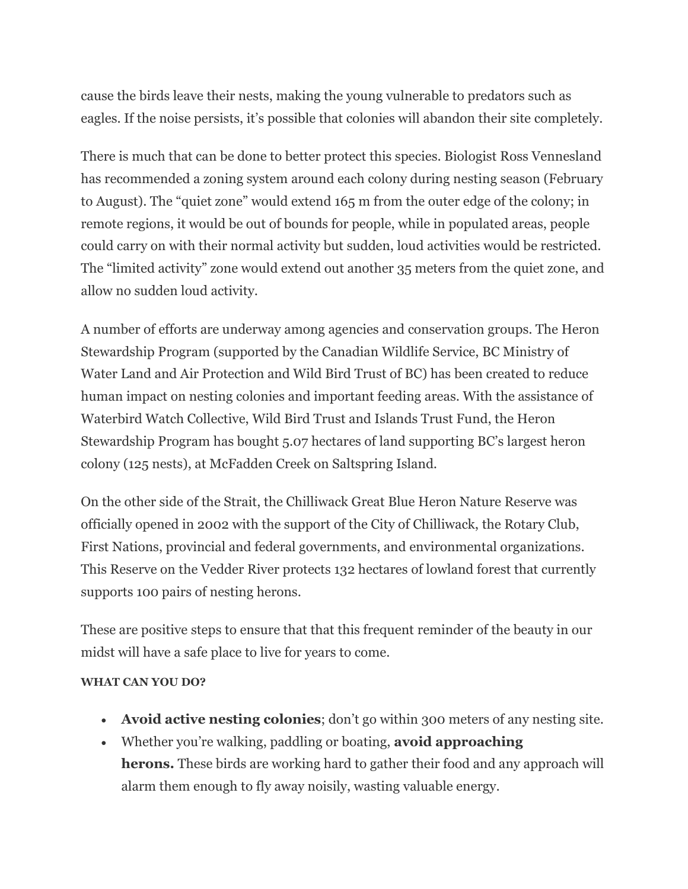cause the birds leave their nests, making the young vulnerable to predators such as eagles. If the noise persists, it's possible that colonies will abandon their site completely.

There is much that can be done to better protect this species. Biologist Ross Vennesland has recommended a zoning system around each colony during nesting season (February to August). The "quiet zone" would extend 165 m from the outer edge of the colony; in remote regions, it would be out of bounds for people, while in populated areas, people could carry on with their normal activity but sudden, loud activities would be restricted. The "limited activity" zone would extend out another 35 meters from the quiet zone, and allow no sudden loud activity.

A number of efforts are underway among agencies and conservation groups. The Heron Stewardship Program (supported by the Canadian Wildlife Service, BC Ministry of Water Land and Air Protection and Wild Bird Trust of BC) has been created to reduce human impact on nesting colonies and important feeding areas. With the assistance of Waterbird Watch Collective, Wild Bird Trust and Islands Trust Fund, the Heron Stewardship Program has bought 5.07 hectares of land supporting BC's largest heron colony (125 nests), at McFadden Creek on Saltspring Island.

On the other side of the Strait, the Chilliwack Great Blue Heron Nature Reserve was officially opened in 2002 with the support of the City of Chilliwack, the Rotary Club, First Nations, provincial and federal governments, and environmental organizations. This Reserve on the Vedder River protects 132 hectares of lowland forest that currently supports 100 pairs of nesting herons.

These are positive steps to ensure that that this frequent reminder of the beauty in our midst will have a safe place to live for years to come.

## **WHAT CAN YOU DO?**

- **Avoid active nesting colonies**; don't go within 300 meters of any nesting site.
- Whether you're walking, paddling or boating, **avoid approaching herons.** These birds are working hard to gather their food and any approach will alarm them enough to fly away noisily, wasting valuable energy.